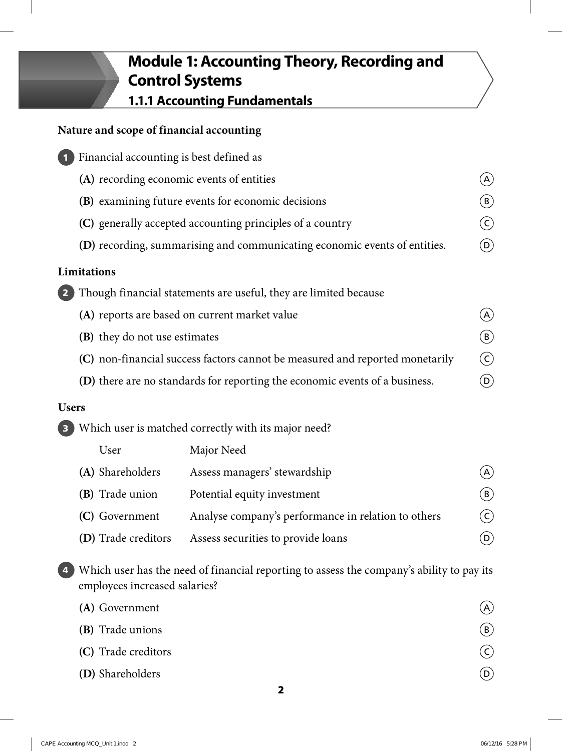# **Module 1: Accounting Theory, Recording and Control Systems**

**1.1.1 Accounting Fundamentals**

# **Nature and scope of financial accounting**

| $\blacksquare$                | Financial accounting is best defined as                                      |                                                      |                            |  |
|-------------------------------|------------------------------------------------------------------------------|------------------------------------------------------|----------------------------|--|
|                               | (A) recording economic events of entities                                    |                                                      | $\left(  \right)$          |  |
|                               |                                                                              | (B) examining future events for economic decisions   | $(\mathsf{B})$             |  |
|                               | (C) generally accepted accounting principles of a country                    |                                                      |                            |  |
|                               | (D) recording, summarising and communicating economic events of entities.    |                                                      |                            |  |
|                               | Limitations                                                                  |                                                      |                            |  |
| $\sqrt{2}$                    | Though financial statements are useful, they are limited because             |                                                      |                            |  |
|                               | (A) reports are based on current market value                                |                                                      | $\left( A\right)$          |  |
| (B) they do not use estimates |                                                                              |                                                      | $\left(\mathtt{B}\right)$  |  |
|                               | (C) non-financial success factors cannot be measured and reported monetarily |                                                      |                            |  |
|                               | (D) there are no standards for reporting the economic events of a business.  |                                                      | $\bigcirc$                 |  |
| <b>Users</b>                  |                                                                              |                                                      |                            |  |
|                               |                                                                              | Which user is matched correctly with its major need? |                            |  |
|                               | User                                                                         | Major Need                                           |                            |  |
|                               | (A) Shareholders                                                             | Assess managers' stewardship                         | (A)                        |  |
|                               | (B) Trade union                                                              | Potential equity investment                          | $(\mathtt{B})$             |  |
|                               | (C) Government                                                               | Analyse company's performance in relation to others  | $\left( \mathsf{c}\right)$ |  |
|                               | (D) Trade creditors                                                          | Assess securities to provide loans                   | $\left( 0\right)$          |  |

**4** Which user has the need of financial reporting to assess the company's ability to pay its employees increased salaries?

| (A) Government      | $\mathcal{A}$  |
|---------------------|----------------|
| (B) Trade unions    | (B)            |
| (C) Trade creditors | $(\mathsf{C})$ |
| (D) Shareholders    | (D)            |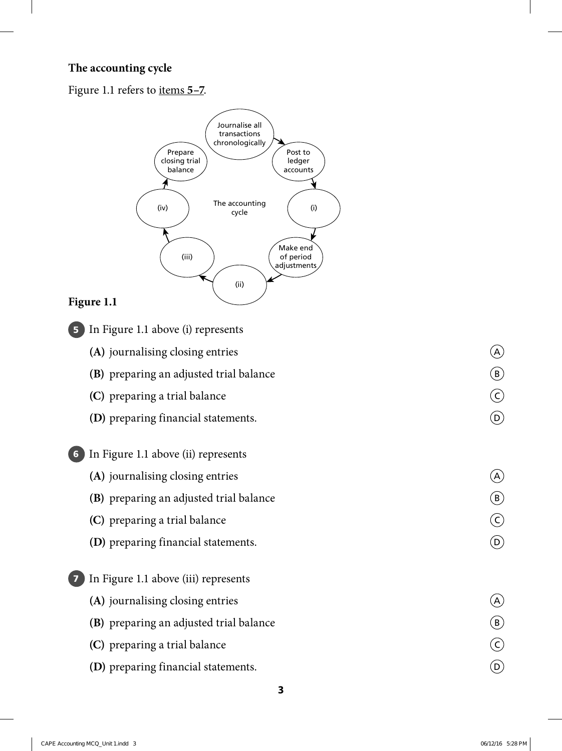#### **The accounting cycle**

Figure 1.1 refers to items **5–7**.



#### **Figure 1.1**

- **5** In Figure 1.1 above (i) represents
	- **(A)** journalising closing entries **A**
	- **(B)** preparing an adjusted trial balance  $\qquad \qquad \textcircled{\textit{B}}$
	- **(C)** preparing a trial balance C
	- **(D)** preparing financial statements.  $\qquad \qquad \textcircled{)}$

#### **6** In Figure 1.1 above (ii) represents

- **(A)** journalising closing entries **A**
- **(B)** preparing an adjusted trial balance  $\qquad \qquad \textcircled{\textit{B}}$
- **(C)** preparing a trial balance C
- **(D)** preparing financial statements.  $\qquad \qquad \textcircled{b}$

### **7** In Figure 1.1 above (iii) represents

- **(A)** journalising closing entries  $\qquad \qquad \textcircled{A}$
- **(B)** preparing an adjusted trial balance  $\qquad \qquad \textcircled{\textbf{B}}$
- **(C)** preparing a trial balance C
- **(D)** preparing financial statements.  $\qquad \qquad \textcircled{b}$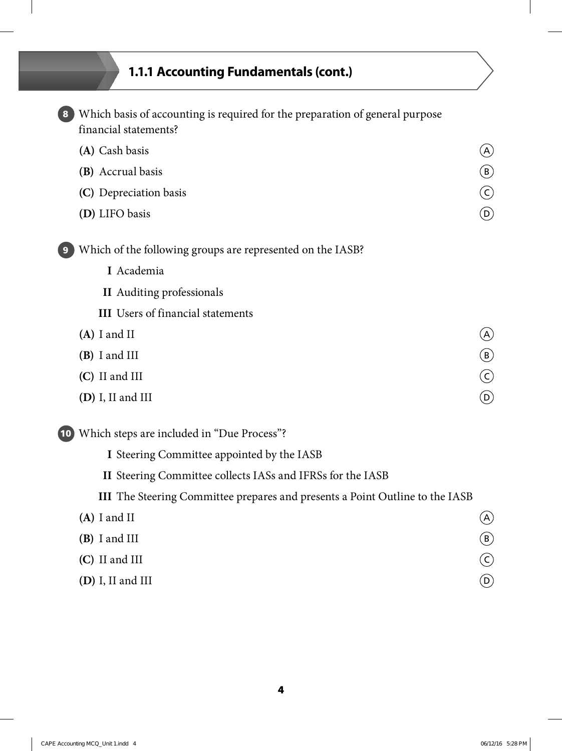# **1.1.1 Accounting Fundamentals (cont.)**

|      | Which basis of accounting is required for the preparation of general purpose<br>financial statements? |                           |
|------|-------------------------------------------------------------------------------------------------------|---------------------------|
|      | (A) Cash basis                                                                                        | $\left( A\right)$         |
|      | (B) Accrual basis                                                                                     | $\bigcirc$                |
|      | (C) Depreciation basis                                                                                | $\odot$                   |
|      | (D) LIFO basis                                                                                        | $\left(\mathsf{D}\right)$ |
|      | Which of the following groups are represented on the IASB?                                            |                           |
|      | I Academia                                                                                            |                           |
|      | <b>II</b> Auditing professionals                                                                      |                           |
|      | <b>III</b> Users of financial statements                                                              |                           |
|      | $(A)$ I and II                                                                                        |                           |
|      | (B) I and III                                                                                         | $\bigcirc$                |
|      | (C) II and III                                                                                        | $\odot$                   |
|      | $(D)$ I, II and III                                                                                   | $\left(\mathsf{D}\right)$ |
| (10) | Which steps are included in "Due Process"?                                                            |                           |
|      | I Steering Committee appointed by the IASB                                                            |                           |
|      | II Steering Committee collects IASs and IFRSs for the IASB                                            |                           |
|      | <b>III</b> The Steering Committee prepares and presents a Point Outline to the IASB                   |                           |
|      | $(A)$ I and II                                                                                        | $\bigcirc$                |
|      | (B) I and III                                                                                         | $\bigcirc$                |
|      | (C) II and III                                                                                        | $\odot$                   |
|      | (D) I, II and III                                                                                     | $\circledcirc$            |